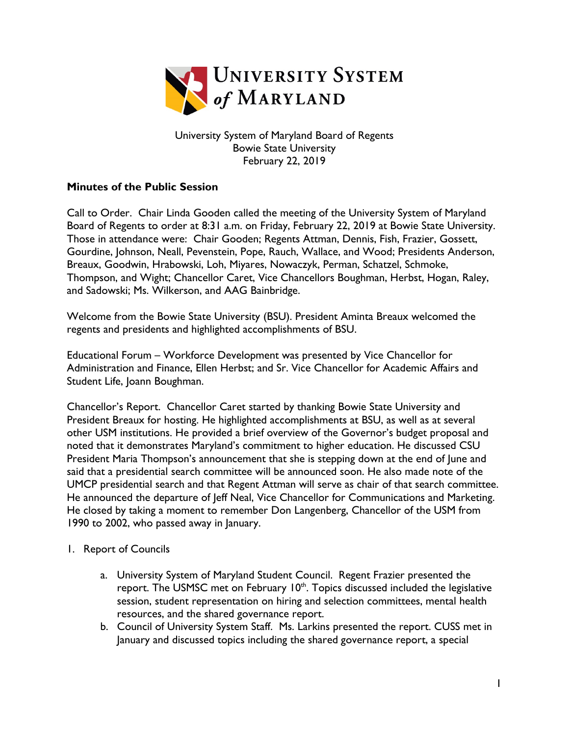

University System of Maryland Board of Regents Bowie State University February 22, 2019

## **Minutes of the Public Session**

Call to Order. Chair Linda Gooden called the meeting of the University System of Maryland Board of Regents to order at 8:31 a.m. on Friday, February 22, 2019 at Bowie State University. Those in attendance were: Chair Gooden; Regents Attman, Dennis, Fish, Frazier, Gossett, Gourdine, Johnson, Neall, Pevenstein, Pope, Rauch, Wallace, and Wood; Presidents Anderson, Breaux, Goodwin, Hrabowski, Loh, Miyares, Nowaczyk, Perman, Schatzel, Schmoke, Thompson, and Wight; Chancellor Caret, Vice Chancellors Boughman, Herbst, Hogan, Raley, and Sadowski; Ms. Wilkerson, and AAG Bainbridge.

Welcome from the Bowie State University (BSU). President Aminta Breaux welcomed the regents and presidents and highlighted accomplishments of BSU.

Educational Forum – Workforce Development was presented by Vice Chancellor for Administration and Finance, Ellen Herbst; and Sr. Vice Chancellor for Academic Affairs and Student Life, Joann Boughman.

Chancellor's Report. Chancellor Caret started by thanking Bowie State University and President Breaux for hosting. He highlighted accomplishments at BSU, as well as at several other USM institutions. He provided a brief overview of the Governor's budget proposal and noted that it demonstrates Maryland's commitment to higher education. He discussed CSU President Maria Thompson's announcement that she is stepping down at the end of June and said that a presidential search committee will be announced soon. He also made note of the UMCP presidential search and that Regent Attman will serve as chair of that search committee. He announced the departure of Jeff Neal, Vice Chancellor for Communications and Marketing. He closed by taking a moment to remember Don Langenberg, Chancellor of the USM from 1990 to 2002, who passed away in January.

## 1. Report of Councils

- a. University System of Maryland Student Council. Regent Frazier presented the report. The USMSC met on February  $10<sup>th</sup>$ . Topics discussed included the legislative session, student representation on hiring and selection committees, mental health resources, and the shared governance report.
- b. Council of University System Staff. Ms. Larkins presented the report. CUSS met in January and discussed topics including the shared governance report, a special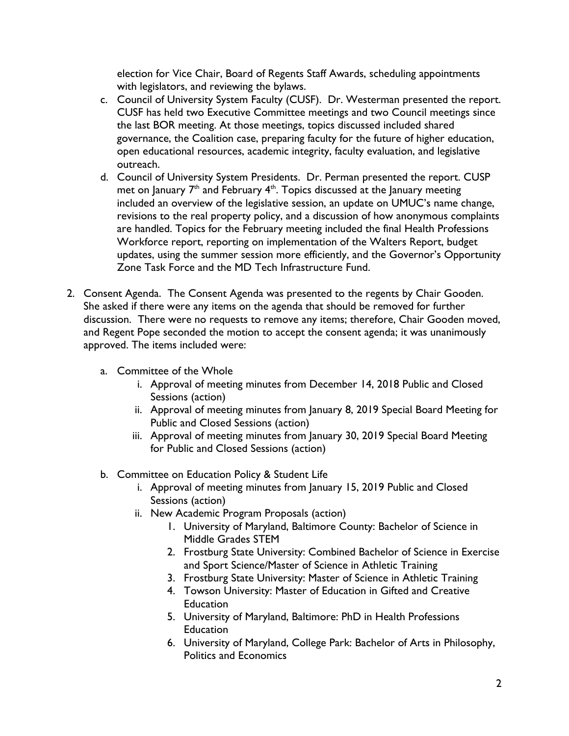election for Vice Chair, Board of Regents Staff Awards, scheduling appointments with legislators, and reviewing the bylaws.

- c. Council of University System Faculty (CUSF). Dr. Westerman presented the report. CUSF has held two Executive Committee meetings and two Council meetings since the last BOR meeting. At those meetings, topics discussed included shared governance, the Coalition case, preparing faculty for the future of higher education, open educational resources, academic integrity, faculty evaluation, and legislative outreach.
- d. Council of University System Presidents. Dr. Perman presented the report. CUSP met on January  $7<sup>th</sup>$  and February  $4<sup>th</sup>$ . Topics discussed at the January meeting included an overview of the legislative session, an update on UMUC's name change, revisions to the real property policy, and a discussion of how anonymous complaints are handled. Topics for the February meeting included the final Health Professions Workforce report, reporting on implementation of the Walters Report, budget updates, using the summer session more efficiently, and the Governor's Opportunity Zone Task Force and the MD Tech Infrastructure Fund.
- 2. Consent Agenda. The Consent Agenda was presented to the regents by Chair Gooden. She asked if there were any items on the agenda that should be removed for further discussion. There were no requests to remove any items; therefore, Chair Gooden moved, and Regent Pope seconded the motion to accept the consent agenda; it was unanimously approved. The items included were:
	- a. Committee of the Whole
		- i. Approval of meeting minutes from December 14, 2018 Public and Closed Sessions (action)
		- ii. Approval of meeting minutes from January 8, 2019 Special Board Meeting for Public and Closed Sessions (action)
		- iii. Approval of meeting minutes from January 30, 2019 Special Board Meeting for Public and Closed Sessions (action)
	- b. Committee on Education Policy & Student Life
		- i. Approval of meeting minutes from January 15, 2019 Public and Closed Sessions (action)
		- ii. New Academic Program Proposals (action)
			- 1. University of Maryland, Baltimore County: Bachelor of Science in Middle Grades STEM
			- 2. Frostburg State University: Combined Bachelor of Science in Exercise and Sport Science/Master of Science in Athletic Training
			- 3. Frostburg State University: Master of Science in Athletic Training
			- 4. Towson University: Master of Education in Gifted and Creative **Education**
			- 5. University of Maryland, Baltimore: PhD in Health Professions **Education**
			- 6. University of Maryland, College Park: Bachelor of Arts in Philosophy, Politics and Economics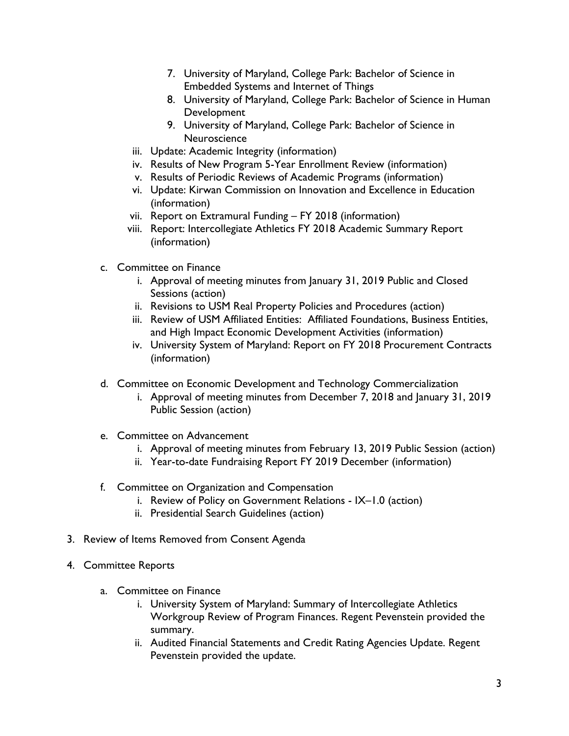- 7. University of Maryland, College Park: Bachelor of Science in Embedded Systems and Internet of Things
- 8. University of Maryland, College Park: Bachelor of Science in Human **Development**
- 9. University of Maryland, College Park: Bachelor of Science in **Neuroscience**
- iii. Update: Academic Integrity (information)
- iv. Results of New Program 5-Year Enrollment Review (information)
- v. Results of Periodic Reviews of Academic Programs (information)
- vi. Update: Kirwan Commission on Innovation and Excellence in Education (information)
- vii. Report on Extramural Funding FY 2018 (information)
- viii. Report: Intercollegiate Athletics FY 2018 Academic Summary Report (information)
- c. Committee on Finance
	- i. Approval of meeting minutes from January 31, 2019 Public and Closed Sessions (action)
	- ii. Revisions to USM Real Property Policies and Procedures (action)
	- iii. Review of USM Affiliated Entities: Affiliated Foundations, Business Entities, and High Impact Economic Development Activities (information)
	- iv. University System of Maryland: Report on FY 2018 Procurement Contracts (information)
- d. Committee on Economic Development and Technology Commercialization
	- i. Approval of meeting minutes from December 7, 2018 and January 31, 2019 Public Session (action)
- e. Committee on Advancement
	- i. Approval of meeting minutes from February 13, 2019 Public Session (action)
	- ii. Year-to-date Fundraising Report FY 2019 December (information)
- f. Committee on Organization and Compensation
	- i. Review of Policy on Government Relations IX–1.0 (action)
	- ii. Presidential Search Guidelines (action)
- 3. Review of Items Removed from Consent Agenda
- 4. Committee Reports
	- a. Committee on Finance
		- i. University System of Maryland: Summary of Intercollegiate Athletics Workgroup Review of Program Finances. Regent Pevenstein provided the summary.
		- ii. Audited Financial Statements and Credit Rating Agencies Update. Regent Pevenstein provided the update.